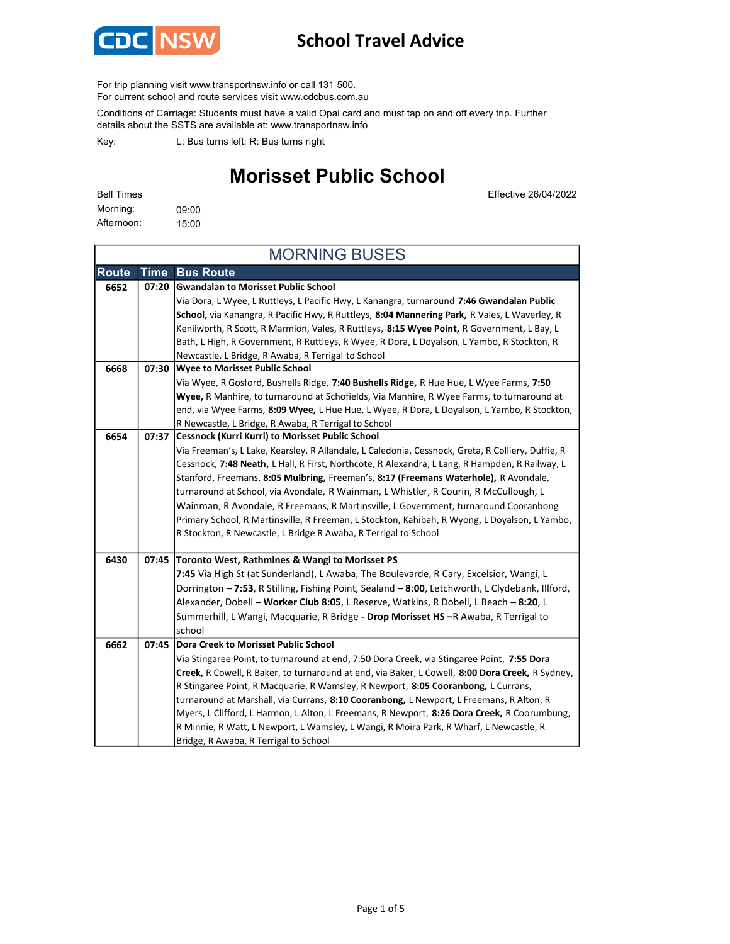

For trip planning visit www.transportnsw.info or call 131 500.

For current school and route services visit www.cdcbus.com.au

Conditions of Carriage: Students must have a valid Opal card and must tap on and off every trip. Further details about the SSTS are available at: www.transportnsw.info

L: Bus turns left; R: Bus turns right Key:

## Morisset Public School

Effective 26/04/2022

09:00 15:00 Afternoon: Morning: Bell Times

| <b>MORNING BUSES</b> |             |                                                                                                   |
|----------------------|-------------|---------------------------------------------------------------------------------------------------|
| <b>Route</b>         | <b>Time</b> | <b>Bus Route</b>                                                                                  |
| 6652                 | 07:20       | <b>Gwandalan to Morisset Public School</b>                                                        |
|                      |             | Via Dora, L Wyee, L Ruttleys, L Pacific Hwy, L Kanangra, turnaround 7:46 Gwandalan Public         |
|                      |             | School, via Kanangra, R Pacific Hwy, R Ruttleys, 8:04 Mannering Park, R Vales, L Waverley, R      |
|                      |             | Kenilworth, R Scott, R Marmion, Vales, R Ruttleys, 8:15 Wyee Point, R Government, L Bay, L        |
|                      |             | Bath, L High, R Government, R Ruttleys, R Wyee, R Dora, L Doyalson, L Yambo, R Stockton, R        |
|                      |             | Newcastle, L Bridge, R Awaba, R Terrigal to School                                                |
| 6668                 | 07:30       | <b>Wyee to Morisset Public School</b>                                                             |
|                      |             | Via Wyee, R Gosford, Bushells Ridge, 7:40 Bushells Ridge, R Hue Hue, L Wyee Farms, 7:50           |
|                      |             | Wyee, R Manhire, to turnaround at Schofields, Via Manhire, R Wyee Farms, to turnaround at         |
|                      |             | end, via Wyee Farms, 8:09 Wyee, L Hue Hue, L Wyee, R Dora, L Doyalson, L Yambo, R Stockton,       |
|                      |             | R Newcastle, L Bridge, R Awaba, R Terrigal to School                                              |
| 6654                 | 07:37       | Cessnock (Kurri Kurri) to Morisset Public School                                                  |
|                      |             | Via Freeman's, L Lake, Kearsley. R Allandale, L Caledonia, Cessnock, Greta, R Colliery, Duffie, R |
|                      |             | Cessnock, 7:48 Neath, L Hall, R First, Northcote, R Alexandra, L Lang, R Hampden, R Railway, L    |
|                      |             | Stanford, Freemans, 8:05 Mulbring, Freeman's, 8:17 (Freemans Waterhole), R Avondale,              |
|                      |             | turnaround at School, via Avondale, R Wainman, L Whistler, R Courin, R McCullough, L              |
|                      |             | Wainman, R Avondale, R Freemans, R Martinsville, L Government, turnaround Cooranbong              |
|                      |             | Primary School, R Martinsville, R Freeman, L Stockton, Kahibah, R Wyong, L Doyalson, L Yambo,     |
|                      |             | R Stockton, R Newcastle, L Bridge R Awaba, R Terrigal to School                                   |
| 6430                 | 07:45       | Toronto West, Rathmines & Wangi to Morisset PS                                                    |
|                      |             | 7:45 Via High St (at Sunderland), L Awaba, The Boulevarde, R Cary, Excelsior, Wangi, L            |
|                      |             | Dorrington - 7:53, R Stilling, Fishing Point, Sealand - 8:00, Letchworth, L Clydebank, Illford,   |
|                      |             | Alexander, Dobell - Worker Club 8:05, L Reserve, Watkins, R Dobell, L Beach - 8:20, L             |
|                      |             | Summerhill, L Wangi, Macquarie, R Bridge - Drop Morisset HS -R Awaba, R Terrigal to               |
|                      |             | school                                                                                            |
| 6662                 | 07:45       | Dora Creek to Morisset Public School                                                              |
|                      |             | Via Stingaree Point, to turnaround at end, 7.50 Dora Creek, via Stingaree Point, 7:55 Dora        |
|                      |             | Creek, R Cowell, R Baker, to turnaround at end, via Baker, L Cowell, 8:00 Dora Creek, R Sydney,   |
|                      |             | R Stingaree Point, R Macquarie, R Wamsley, R Newport, 8:05 Cooranbong, L Currans,                 |
|                      |             | turnaround at Marshall, via Currans, 8:10 Cooranbong, L Newport, L Freemans, R Alton, R           |
|                      |             | Myers, L Clifford, L Harmon, L Alton, L Freemans, R Newport, 8:26 Dora Creek, R Coorumbung,       |
|                      |             | R Minnie, R Watt, L Newport, L Wamsley, L Wangi, R Moira Park, R Wharf, L Newcastle, R            |
|                      |             | Bridge, R Awaba, R Terrigal to School                                                             |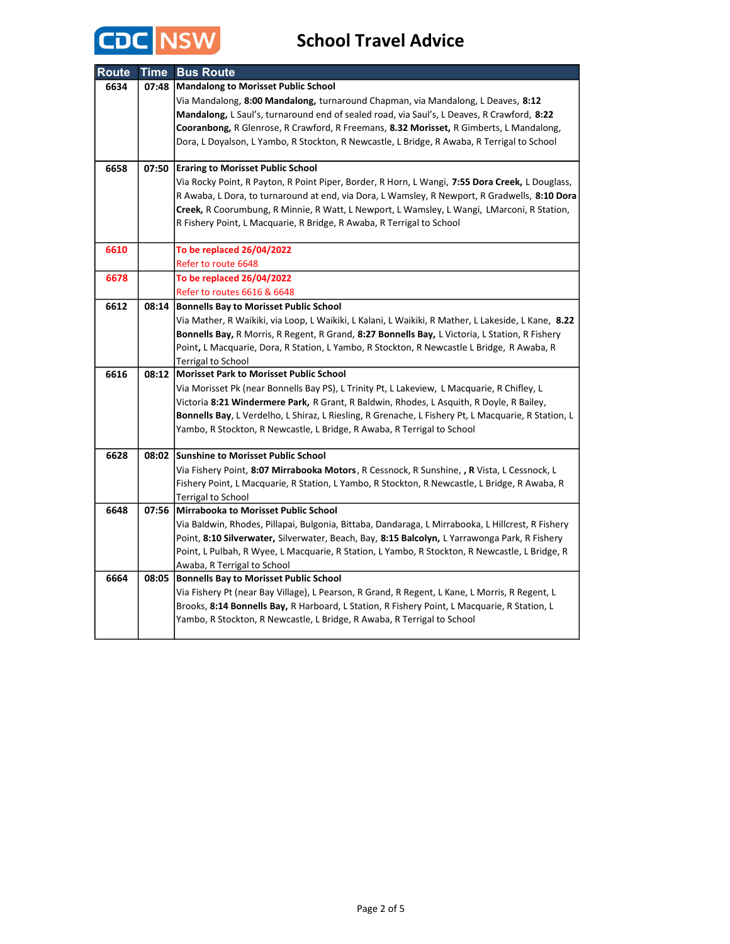

| <b>Route</b> | <b>Time</b> | <b>Bus Route</b>                                                                                    |
|--------------|-------------|-----------------------------------------------------------------------------------------------------|
| 6634         |             | 07:48   Mandalong to Morisset Public School                                                         |
|              |             | Via Mandalong, 8:00 Mandalong, turnaround Chapman, via Mandalong, L Deaves, 8:12                    |
|              |             | Mandalong, L Saul's, turnaround end of sealed road, via Saul's, L Deaves, R Crawford, 8:22          |
|              |             | Cooranbong, R Glenrose, R Crawford, R Freemans, 8.32 Morisset, R Gimberts, L Mandalong,             |
|              |             | Dora, L Doyalson, L Yambo, R Stockton, R Newcastle, L Bridge, R Awaba, R Terrigal to School         |
|              |             |                                                                                                     |
| 6658         | 07:50       | <b>Eraring to Morisset Public School</b>                                                            |
|              |             | Via Rocky Point, R Payton, R Point Piper, Border, R Horn, L Wangi, 7:55 Dora Creek, L Douglass,     |
|              |             | R Awaba, L Dora, to turnaround at end, via Dora, L Wamsley, R Newport, R Gradwells, 8:10 Dora       |
|              |             | Creek, R Coorumbung, R Minnie, R Watt, L Newport, L Wamsley, L Wangi, LMarconi, R Station,          |
|              |             | R Fishery Point, L Macquarie, R Bridge, R Awaba, R Terrigal to School                               |
| 6610         |             | To be replaced 26/04/2022                                                                           |
|              |             | Refer to route 6648                                                                                 |
| 6678         |             | To be replaced 26/04/2022                                                                           |
|              |             | Refer to routes 6616 & 6648                                                                         |
| 6612         | 08:14       | Bonnells Bay to Morisset Public School                                                              |
|              |             | Via Mather, R Waikiki, via Loop, L Waikiki, L Kalani, L Waikiki, R Mather, L Lakeside, L Kane, 8.22 |
|              |             | Bonnells Bay, R Morris, R Regent, R Grand, 8:27 Bonnells Bay, L Victoria, L Station, R Fishery      |
|              |             | Point, L Macquarie, Dora, R Station, L Yambo, R Stockton, R Newcastle L Bridge, R Awaba, R          |
|              |             | Terrigal to School                                                                                  |
| 6616         |             | 08:12   Morisset Park to Morisset Public School                                                     |
|              |             | Via Morisset Pk (near Bonnells Bay PS), L Trinity Pt, L Lakeview, L Macquarie, R Chifley, L         |
|              |             | Victoria 8:21 Windermere Park, R Grant, R Baldwin, Rhodes, L Asquith, R Doyle, R Bailey,            |
|              |             | Bonnells Bay, L Verdelho, L Shiraz, L Riesling, R Grenache, L Fishery Pt, L Macquarie, R Station, L |
|              |             | Yambo, R Stockton, R Newcastle, L Bridge, R Awaba, R Terrigal to School                             |
| 6628         |             | 08:02   Sunshine to Morisset Public School                                                          |
|              |             | Via Fishery Point, 8:07 Mirrabooka Motors, R Cessnock, R Sunshine, , R Vista, L Cessnock, L         |
|              |             | Fishery Point, L Macquarie, R Station, L Yambo, R Stockton, R Newcastle, L Bridge, R Awaba, R       |
|              |             | <b>Terrigal to School</b>                                                                           |
| 6648         |             | 07:56 Mirrabooka to Morisset Public School                                                          |
|              |             | Via Baldwin, Rhodes, Pillapai, Bulgonia, Bittaba, Dandaraga, L Mirrabooka, L Hillcrest, R Fishery   |
|              |             | Point, 8:10 Silverwater, Silverwater, Beach, Bay, 8:15 Balcolyn, L Yarrawonga Park, R Fishery       |
|              |             | Point, L Pulbah, R Wyee, L Macquarie, R Station, L Yambo, R Stockton, R Newcastle, L Bridge, R      |
|              |             | Awaba, R Terrigal to School                                                                         |
| 6664         | 08:05       | Bonnells Bay to Morisset Public School                                                              |
|              |             | Via Fishery Pt (near Bay Village), L Pearson, R Grand, R Regent, L Kane, L Morris, R Regent, L      |
|              |             | Brooks, 8:14 Bonnells Bay, R Harboard, L Station, R Fishery Point, L Macquarie, R Station, L        |
|              |             | Yambo, R Stockton, R Newcastle, L Bridge, R Awaba, R Terrigal to School                             |
|              |             |                                                                                                     |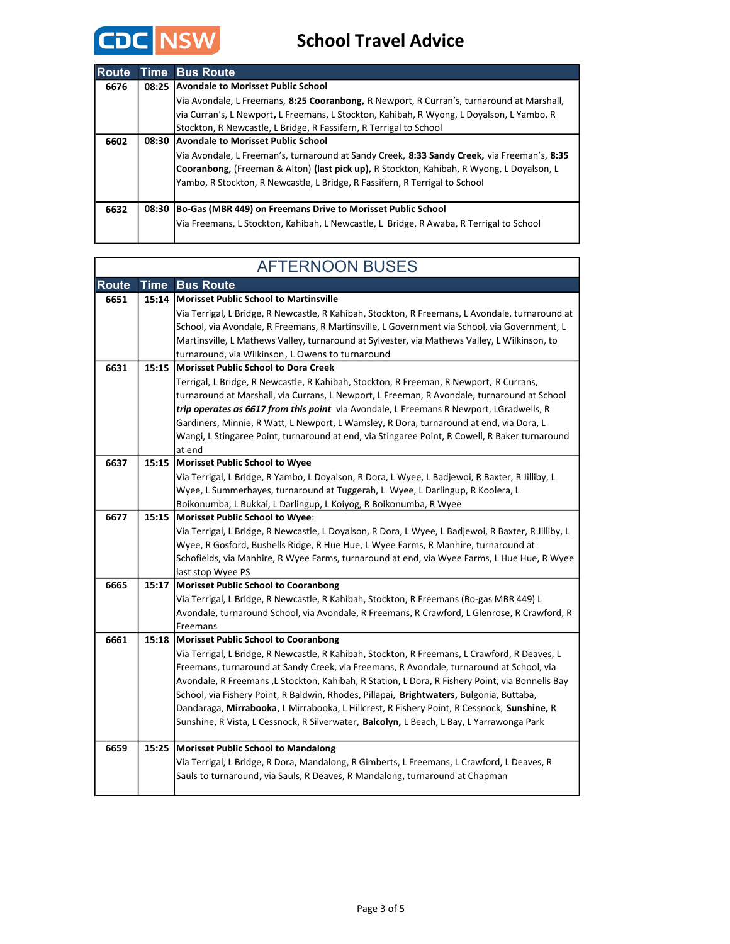

г

| <b>Route</b> |       | <b>Time Bus Route</b>                                                                            |
|--------------|-------|--------------------------------------------------------------------------------------------------|
| 6676         |       | 08:25 Avondale to Morisset Public School                                                         |
|              |       | Via Avondale, L Freemans, 8:25 Cooranbong, R Newport, R Curran's, turnaround at Marshall,        |
|              |       | via Curran's, L Newport, L Freemans, L Stockton, Kahibah, R Wyong, L Doyalson, L Yambo, R        |
|              |       | Stockton, R Newcastle, L Bridge, R Fassifern, R Terrigal to School                               |
| 6602         | 08:30 | Avondale to Morisset Public School                                                               |
|              |       | Via Avondale, L Freeman's, turnaround at Sandy Creek, 8:33 Sandy Creek, via Freeman's, 8:35      |
|              |       | <b>Cooranbong,</b> (Freeman & Alton) (last pick up), R Stockton, Kahibah, R Wyong, L Doyalson, L |
|              |       | Yambo, R Stockton, R Newcastle, L Bridge, R Fassifern, R Terrigal to School                      |
|              |       |                                                                                                  |
| 6632         | 08:30 | Bo-Gas (MBR 449) on Freemans Drive to Morisset Public School                                     |
|              |       | Via Freemans, L Stockton, Kahibah, L Newcastle, L Bridge, R Awaba, R Terrigal to School          |
|              |       |                                                                                                  |

| <b>AFTERNOON BUSES</b> |       |                                                                                                      |
|------------------------|-------|------------------------------------------------------------------------------------------------------|
| <b>Route</b>           | Time  | <b>Bus Route</b>                                                                                     |
| 6651                   |       | 15:14   Morisset Public School to Martinsville                                                       |
|                        |       | Via Terrigal, L Bridge, R Newcastle, R Kahibah, Stockton, R Freemans, L Avondale, turnaround at      |
|                        |       | School, via Avondale, R Freemans, R Martinsville, L Government via School, via Government, L         |
|                        |       | Martinsville, L Mathews Valley, turnaround at Sylvester, via Mathews Valley, L Wilkinson, to         |
|                        |       | turnaround, via Wilkinson, L Owens to turnaround                                                     |
| 6631                   | 15:15 | <b>Morisset Public School to Dora Creek</b>                                                          |
|                        |       | Terrigal, L Bridge, R Newcastle, R Kahibah, Stockton, R Freeman, R Newport, R Currans,               |
|                        |       | turnaround at Marshall, via Currans, L Newport, L Freeman, R Avondale, turnaround at School          |
|                        |       | trip operates as 6617 from this point via Avondale, L Freemans R Newport, LGradwells, R              |
|                        |       | Gardiners, Minnie, R Watt, L Newport, L Wamsley, R Dora, turnaround at end, via Dora, L              |
|                        |       | Wangi, L Stingaree Point, turnaround at end, via Stingaree Point, R Cowell, R Baker turnaround       |
|                        |       | at end                                                                                               |
| 6637                   |       | 15:15   Morisset Public School to Wyee                                                               |
|                        |       | Via Terrigal, L Bridge, R Yambo, L Doyalson, R Dora, L Wyee, L Badjewoi, R Baxter, R Jilliby, L      |
|                        |       | Wyee, L Summerhayes, turnaround at Tuggerah, L Wyee, L Darlingup, R Koolera, L                       |
| 6677                   | 15:15 | Boikonumba, L Bukkai, L Darlingup, L Koiyog, R Boikonumba, R Wyee<br>Morisset Public School to Wyee: |
|                        |       | Via Terrigal, L Bridge, R Newcastle, L Doyalson, R Dora, L Wyee, L Badjewoi, R Baxter, R Jilliby, L  |
|                        |       | Wyee, R Gosford, Bushells Ridge, R Hue Hue, L Wyee Farms, R Manhire, turnaround at                   |
|                        |       | Schofields, via Manhire, R Wyee Farms, turnaround at end, via Wyee Farms, L Hue Hue, R Wyee          |
|                        |       | last stop Wyee PS                                                                                    |
| 6665                   |       | 15:17 Morisset Public School to Cooranbong                                                           |
|                        |       | Via Terrigal, L Bridge, R Newcastle, R Kahibah, Stockton, R Freemans (Bo-gas MBR 449) L              |
|                        |       | Avondale, turnaround School, via Avondale, R Freemans, R Crawford, L Glenrose, R Crawford, R         |
|                        |       | Freemans                                                                                             |
| 6661                   | 15:18 | <b>Morisset Public School to Cooranbong</b>                                                          |
|                        |       | Via Terrigal, L Bridge, R Newcastle, R Kahibah, Stockton, R Freemans, L Crawford, R Deaves, L        |
|                        |       | Freemans, turnaround at Sandy Creek, via Freemans, R Avondale, turnaround at School, via             |
|                        |       | Avondale, R Freemans ,L Stockton, Kahibah, R Station, L Dora, R Fishery Point, via Bonnells Bay      |
|                        |       | School, via Fishery Point, R Baldwin, Rhodes, Pillapai, <b>Brightwaters,</b> Bulgonia, Buttaba,      |
|                        |       | Dandaraga, Mirrabooka, L Mirrabooka, L Hillcrest, R Fishery Point, R Cessnock, Sunshine, R           |
|                        |       | Sunshine, R Vista, L Cessnock, R Silverwater, Balcolyn, L Beach, L Bay, L Yarrawonga Park            |
| 6659                   | 15:25 | <b>Morisset Public School to Mandalong</b>                                                           |
|                        |       | Via Terrigal, L Bridge, R Dora, Mandalong, R Gimberts, L Freemans, L Crawford, L Deaves, R           |
|                        |       | Sauls to turnaround, via Sauls, R Deaves, R Mandalong, turnaround at Chapman                         |
|                        |       |                                                                                                      |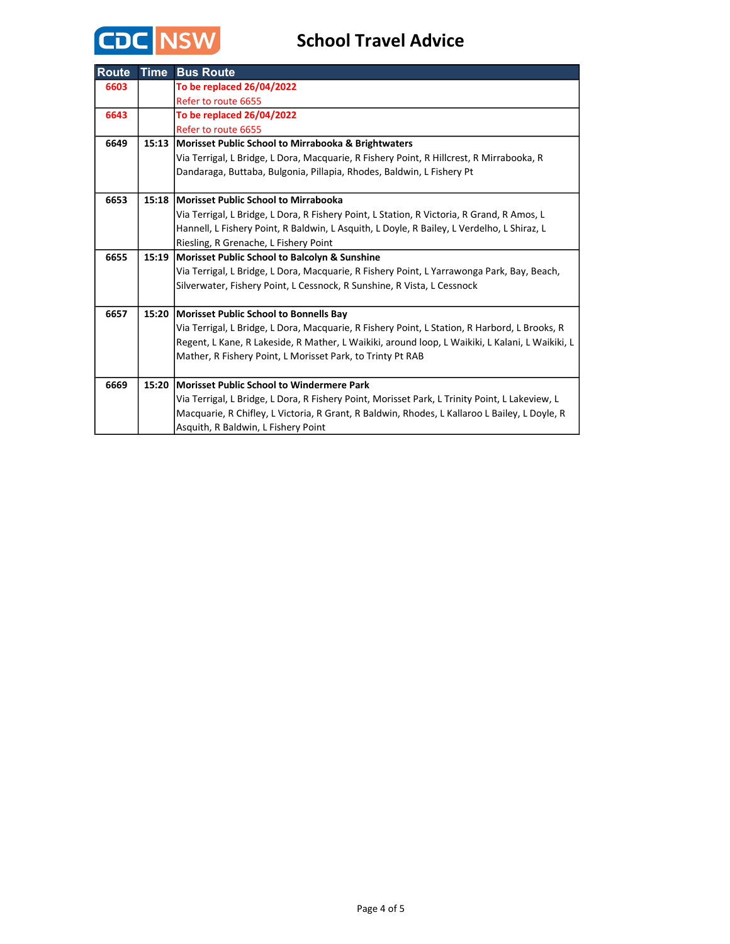

| <b>Route</b> | <b>Time</b> | <b>Bus Route</b>                                                                                |
|--------------|-------------|-------------------------------------------------------------------------------------------------|
| 6603         |             | To be replaced 26/04/2022                                                                       |
|              |             | Refer to route 6655                                                                             |
| 6643         |             | To be replaced 26/04/2022                                                                       |
|              |             | Refer to route 6655                                                                             |
| 6649         |             | 15:13 Morisset Public School to Mirrabooka & Brightwaters                                       |
|              |             | Via Terrigal, L Bridge, L Dora, Macquarie, R Fishery Point, R Hillcrest, R Mirrabooka, R        |
|              |             | Dandaraga, Buttaba, Bulgonia, Pillapia, Rhodes, Baldwin, L Fishery Pt                           |
|              |             |                                                                                                 |
| 6653         | 15:18       | Morisset Public School to Mirrabooka                                                            |
|              |             | Via Terrigal, L Bridge, L Dora, R Fishery Point, L Station, R Victoria, R Grand, R Amos, L      |
|              |             | Hannell, L Fishery Point, R Baldwin, L Asquith, L Doyle, R Bailey, L Verdelho, L Shiraz, L      |
|              |             | Riesling, R Grenache, L Fishery Point                                                           |
| 6655         | 15:19       | Morisset Public School to Balcolyn & Sunshine                                                   |
|              |             | Via Terrigal, L Bridge, L Dora, Macquarie, R Fishery Point, L Yarrawonga Park, Bay, Beach,      |
|              |             | Silverwater, Fishery Point, L Cessnock, R Sunshine, R Vista, L Cessnock                         |
|              |             |                                                                                                 |
| 6657         | 15:20       | Morisset Public School to Bonnells Bay                                                          |
|              |             | Via Terrigal, L Bridge, L Dora, Macquarie, R Fishery Point, L Station, R Harbord, L Brooks, R   |
|              |             | Regent, L Kane, R Lakeside, R Mather, L Waikiki, around loop, L Waikiki, L Kalani, L Waikiki, L |
|              |             | Mather, R Fishery Point, L Morisset Park, to Trinty Pt RAB                                      |
|              |             |                                                                                                 |
| 6669         | 15:20       | Morisset Public School to Windermere Park                                                       |
|              |             | Via Terrigal, L Bridge, L Dora, R Fishery Point, Morisset Park, L Trinity Point, L Lakeview, L  |
|              |             | Macquarie, R Chifley, L Victoria, R Grant, R Baldwin, Rhodes, L Kallaroo L Bailey, L Doyle, R   |
|              |             | Asquith, R Baldwin, L Fishery Point                                                             |